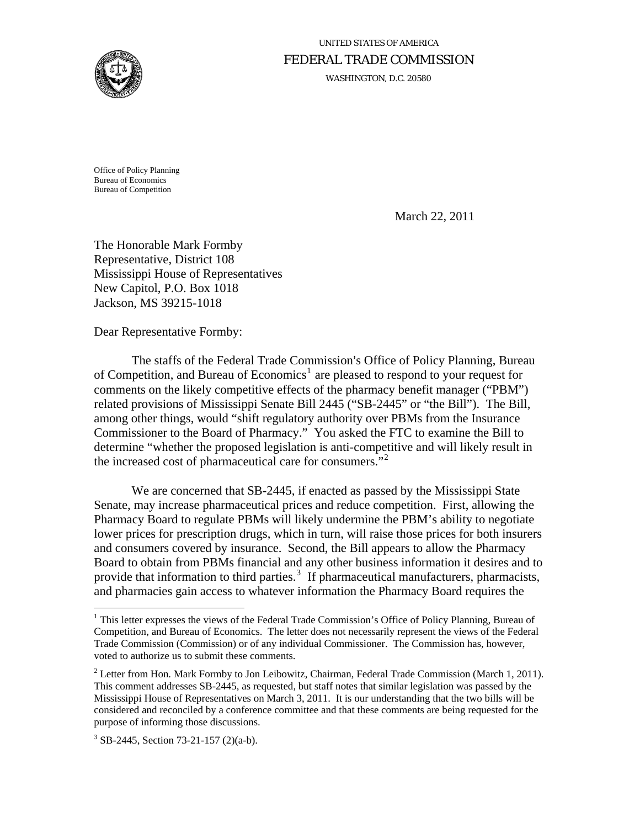

# UNITED STATES OF AMERICA FEDERAL TRADE COMMISSION

WASHINGTON, D.C. 20580

Office of Policy Planning Bureau of Economics Bureau of Competition

March 22, 2011

The Honorable Mark Formby Representative, District 108 Mississippi House of Representatives New Capitol, P.O. Box 1018 Jackson, MS 39215-1018

Dear Representative Formby:

The staffs of the Federal Trade Commission's Office of Policy Planning, Bureau of Competition, and Bureau of Economics<sup>[1](#page-0-0)</sup> are pleased to respond to your request for comments on the likely competitive effects of the pharmacy benefit manager ("PBM") related provisions of Mississippi Senate Bill 2445 ("SB-2445" or "the Bill"). The Bill, among other things, would "shift regulatory authority over PBMs from the Insurance Commissioner to the Board of Pharmacy." You asked the FTC to examine the Bill to determine "whether the proposed legislation is anti-competitive and will likely result in the increased cost of pharmaceutical care for consumers. $^{32}$  $^{32}$  $^{32}$ 

 We are concerned that SB-2445, if enacted as passed by the Mississippi State Senate, may increase pharmaceutical prices and reduce competition. First, allowing the Pharmacy Board to regulate PBMs will likely undermine the PBM's ability to negotiate lower prices for prescription drugs, which in turn, will raise those prices for both insurers and consumers covered by insurance. Second, the Bill appears to allow the Pharmacy Board to obtain from PBMs financial and any other business information it desires and to provide that information to third parties.<sup>[3](#page-0-2)</sup> If pharmaceutical manufacturers, pharmacists, and pharmacies gain access to whatever information the Pharmacy Board requires the

1

<span id="page-0-0"></span><sup>&</sup>lt;sup>1</sup> This letter expresses the views of the Federal Trade Commission's Office of Policy Planning, Bureau of Competition, and Bureau of Economics. The letter does not necessarily represent the views of the Federal Trade Commission (Commission) or of any individual Commissioner. The Commission has, however, voted to authorize us to submit these comments.

<span id="page-0-1"></span><sup>&</sup>lt;sup>2</sup> Letter from Hon. Mark Formby to Jon Leibowitz, Chairman, Federal Trade Commission (March 1, 2011). This comment addresses SB-2445, as requested, but staff notes that similar legislation was passed by the Mississippi House of Representatives on March 3, 2011. It is our understanding that the two bills will be considered and reconciled by a conference committee and that these comments are being requested for the purpose of informing those discussions.

<span id="page-0-2"></span><sup>3</sup> SB-2445, Section 73-21-157 (2)(a-b).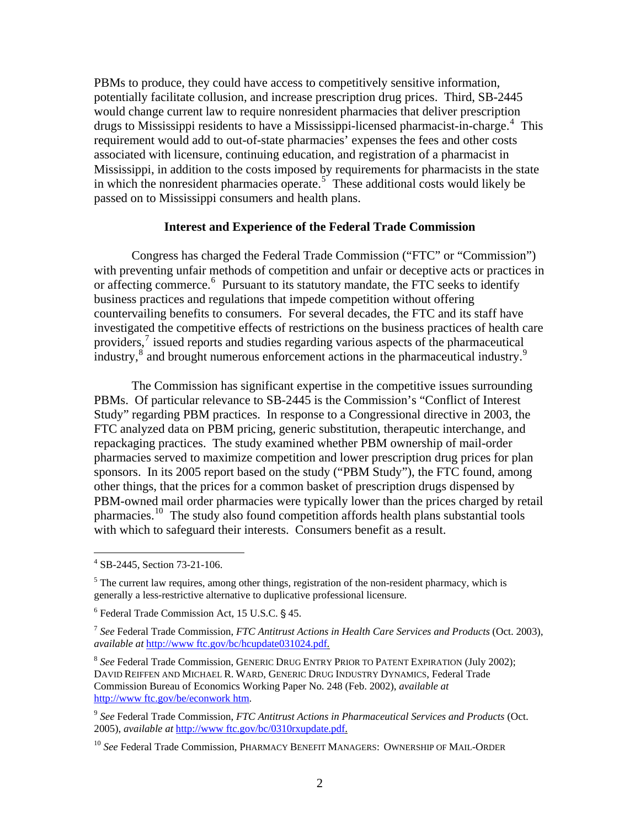PBMs to produce, they could have access to competitively sensitive information, potentially facilitate collusion, and increase prescription drug prices. Third, SB-2445 would change current law to require nonresident pharmacies that deliver prescription drugs to Mississippi residents to have a Mississippi-licensed pharmacist-in-charge.<sup>[4](#page-1-0)</sup> This requirement would add to out-of-state pharmacies' expenses the fees and other costs associated with licensure, continuing education, and registration of a pharmacist in Mississippi, in addition to the costs imposed by requirements for pharmacists in the state in which the nonresident pharmacies operate. $5$  These additional costs would likely be passed on to Mississippi consumers and health plans.

#### **Interest and Experience of the Federal Trade Commission**

Congress has charged the Federal Trade Commission ("FTC" or "Commission") with preventing unfair methods of competition and unfair or deceptive acts or practices in or affecting commerce.<sup>[6](#page-1-2)</sup> Pursuant to its statutory mandate, the FTC seeks to identify business practices and regulations that impede competition without offering countervailing benefits to consumers. For several decades, the FTC and its staff have investigated the competitive effects of restrictions on the business practices of health care providers,<sup>[7](#page-1-3)</sup> issued reports and studies regarding various aspects of the pharmaceutical industry,<sup>[8](#page-1-4)</sup> and brought numerous enforcement actions in the pharmaceutical industry.<sup>[9](#page-1-5)</sup>

The Commission has significant expertise in the competitive issues surrounding PBMs. Of particular relevance to SB-2445 is the Commission's "Conflict of Interest Study" regarding PBM practices. In response to a Congressional directive in 2003, the FTC analyzed data on PBM pricing, generic substitution, therapeutic interchange, and repackaging practices. The study examined whether PBM ownership of mail-order pharmacies served to maximize competition and lower prescription drug prices for plan sponsors. In its 2005 report based on the study ("PBM Study"), the FTC found, among other things, that the prices for a common basket of prescription drugs dispensed by PBM-owned mail order pharmacies were typically lower than the prices charged by retail pharmacies.[10](#page-1-6) The study also found competition affords health plans substantial tools with which to safeguard their interests. Consumers benefit as a result.

<span id="page-1-0"></span><sup>4</sup> SB-2445, Section 73-21-106.

<span id="page-1-1"></span> $<sup>5</sup>$  The current law requires, among other things, registration of the non-resident pharmacy, which is</sup> generally a less-restrictive alternative to duplicative professional licensure.

<span id="page-1-2"></span> $6$  Federal Trade Commission Act, 15 U.S.C. § 45.

<span id="page-1-3"></span><sup>7</sup> *See* Federal Trade Commission, *FTC Antitrust Actions in Health Care Services and Products* (Oct. 2003), *available at* [http://www ftc.gov/bc/hcupdate031024.pdf.](http://www.ftc.gov/bc/hcupdate031024.pdf)

<span id="page-1-4"></span><sup>8</sup> *See* Federal Trade Commission, GENERIC DRUG ENTRY PRIOR TO PATENT EXPIRATION (July 2002); DAVID REIFFEN AND MICHAEL R. WARD, GENERIC DRUG INDUSTRY DYNAMICS, Federal Trade Commission Bureau of Economics Working Paper No. 248 (Feb. 2002), *available at* [http://www ftc.gov/be/econwork htm.](http://www.ftc.gov/be/econwork.htm)

<span id="page-1-5"></span><sup>9</sup> *See* Federal Trade Commission, *FTC Antitrust Actions in Pharmaceutical Services and Products* (Oct. 2005), *available at* [http://www ftc.gov/bc/0310rxupdate.pdf](http://www.ftc.gov/bc/0310rxupdate.pdf).

<span id="page-1-6"></span><sup>10</sup> *See* Federal Trade Commission, PHARMACY BENEFIT MANAGERS: OWNERSHIP OF MAIL-ORDER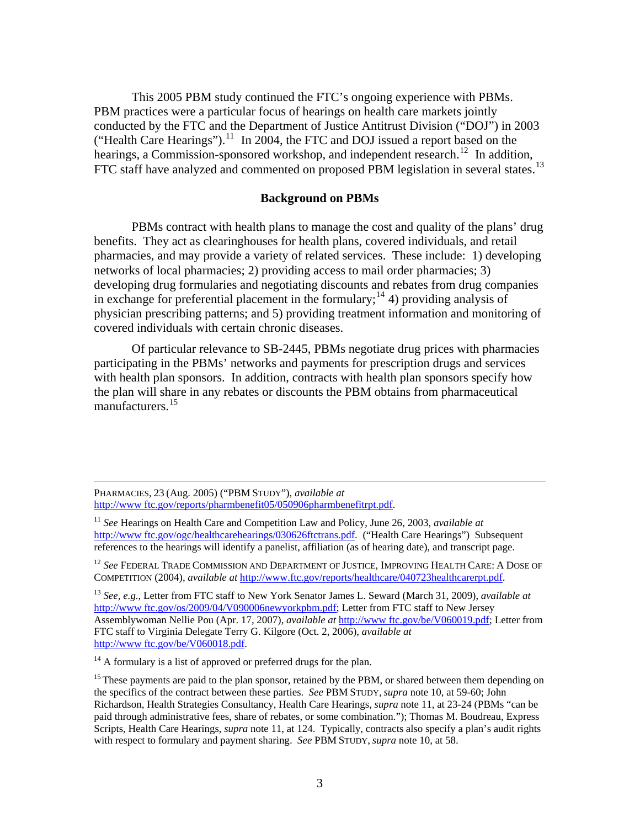This 2005 PBM study continued the FTC's ongoing experience with PBMs. PBM practices were a particular focus of hearings on health care markets jointly conducted by the FTC and the Department of Justice Antitrust Division ("DOJ") in 2003 ("Health Care Hearings").<sup>[11](#page-2-0)</sup> In 2004, the FTC and DOJ issued a report based on the hearings, a Commission-sponsored workshop, and independent research.<sup>[12](#page-2-1)</sup> In addition, FTC staff have analyzed and commented on proposed PBM legislation in several states.<sup>[13](#page-2-2)</sup>

#### **Background on PBMs**

PBMs contract with health plans to manage the cost and quality of the plans' drug benefits. They act as clearinghouses for health plans, covered individuals, and retail pharmacies, and may provide a variety of related services. These include: 1) developing networks of local pharmacies; 2) providing access to mail order pharmacies; 3) developing drug formularies and negotiating discounts and rebates from drug companies in exchange for preferential placement in the formulary;<sup>[14](#page-2-3)</sup> 4) providing analysis of physician prescribing patterns; and 5) providing treatment information and monitoring of covered individuals with certain chronic diseases.

Of particular relevance to SB-2445, PBMs negotiate drug prices with pharmacies participating in the PBMs' networks and payments for prescription drugs and services with health plan sponsors. In addition, contracts with health plan sponsors specify how the plan will share in any rebates or discounts the PBM obtains from pharmaceutical manufacturers.<sup>[15](#page-2-4)</sup>

 PHARMACIES, <sup>23</sup> (Aug. 2005) ("PBM STUDY"), *available at*  [http://www ftc.gov/reports/pharmbenefit05/050906pharmbenefitrpt.pdf.](http://www.ftc.gov/reports/pharmbenefit05/050906pharmbenefitrpt.pdf)

<span id="page-2-1"></span><sup>12</sup> *See* FEDERAL TRADE COMMISSION AND DEPARTMENT OF JUSTICE, IMPROVING HEALTH CARE: A DOSE OF COMPETITION (2004), *available at* [http://www.ftc.gov/reports/healthcare/040723healthcarerpt.pdf.](http://www.ftc.gov/reports/healthcare/040723healthcarerpt.pdf)

<span id="page-2-2"></span><sup>13</sup> *See, e.g.*, Letter from FTC staff to New York Senator James L. Seward (March 31, 2009), *available at* [http://www ftc.gov/os/2009/04/V090006newyorkpbm.pdf;](http://www.ftc.gov/os/2009/04/V090006newyorkpbm.pdf) Letter from FTC staff to New Jersey Assemblywoman Nellie Pou (Apr. 17, 2007), *available at* [http://www ftc.gov/be/V060019.pdf](http://www.ftc.gov/be/V060019.pdf); Letter from FTC staff to Virginia Delegate Terry G. Kilgore (Oct. 2, 2006), *available at* [http://www ftc.gov/be/V060018.pdf](http://www.ftc.gov/be/V060018.pdf).

<span id="page-2-3"></span> $14$  A formulary is a list of approved or preferred drugs for the plan.

<span id="page-2-0"></span><sup>&</sup>lt;sup>11</sup> *See* Hearings on Health Care and Competition Law and Policy, June 26, 2003, *available at* [http://www ftc.gov/ogc/healthcarehearings/030626ftctrans.pdf.](http://www.ftc.gov/ogc/healthcarehearings/030626ftctrans.pdf) ("Health Care Hearings") Subsequent references to the hearings will identify a panelist, affiliation (as of hearing date), and transcript page.

<span id="page-2-4"></span><sup>&</sup>lt;sup>15</sup> These payments are paid to the plan sponsor, retained by the PBM, or shared between them depending on the specifics of the contract between these parties. *See* PBM STUDY, *supra* note 10, at 59-60; John Richardson, Health Strategies Consultancy, Health Care Hearings, *supra* note 11, at 23-24 (PBMs "can be paid through administrative fees, share of rebates, or some combination."); Thomas M. Boudreau, Express Scripts, Health Care Hearings, *supra* note 11, at 124. Typically, contracts also specify a plan's audit rights with respect to formulary and payment sharing. *See* PBM STUDY, *supra* note 10, at 58.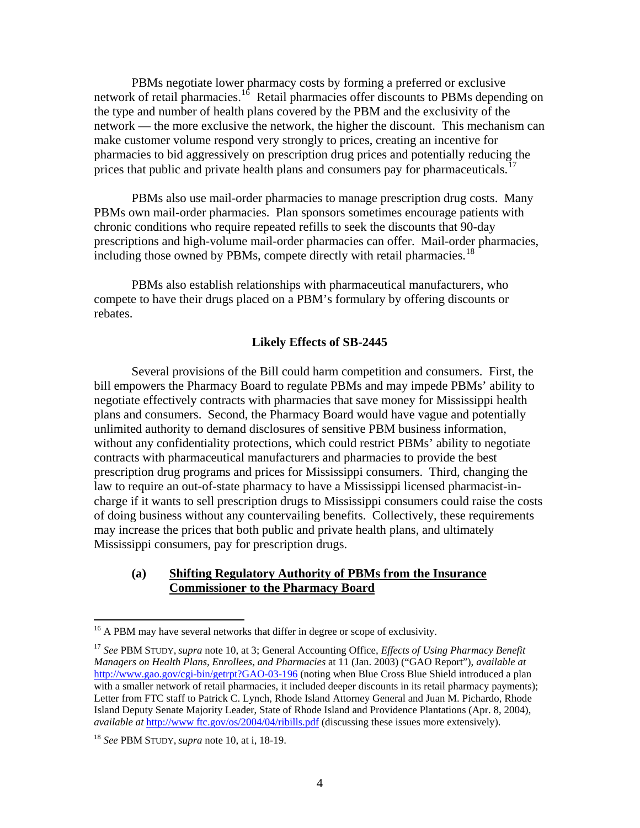PBMs negotiate lower pharmacy costs by forming a preferred or exclusive network of retail pharmacies.<sup>[16](#page-3-0)</sup> Retail pharmacies offer discounts to PBMs depending on the type and number of health plans covered by the PBM and the exclusivity of the network — the more exclusive the network, the higher the discount. This mechanism can make customer volume respond very strongly to prices, creating an incentive for pharmacies to bid aggressively on prescription drug prices and potentially reducing the prices that public and private health plans and consumers pay for pharmaceuticals.<sup>[17](#page-3-1)</sup>

 PBMs also use mail-order pharmacies to manage prescription drug costs. Many PBMs own mail-order pharmacies. Plan sponsors sometimes encourage patients with chronic conditions who require repeated refills to seek the discounts that 90-day prescriptions and high-volume mail-order pharmacies can offer. Mail-order pharmacies, including those owned by PBMs, compete directly with retail pharmacies.<sup>[18](#page-3-2)</sup>

 PBMs also establish relationships with pharmaceutical manufacturers, who compete to have their drugs placed on a PBM's formulary by offering discounts or rebates.

## **Likely Effects of SB-2445**

Several provisions of the Bill could harm competition and consumers. First, the bill empowers the Pharmacy Board to regulate PBMs and may impede PBMs' ability to negotiate effectively contracts with pharmacies that save money for Mississippi health plans and consumers. Second, the Pharmacy Board would have vague and potentially unlimited authority to demand disclosures of sensitive PBM business information, without any confidentiality protections, which could restrict PBMs' ability to negotiate contracts with pharmaceutical manufacturers and pharmacies to provide the best prescription drug programs and prices for Mississippi consumers. Third, changing the law to require an out-of-state pharmacy to have a Mississippi licensed pharmacist-incharge if it wants to sell prescription drugs to Mississippi consumers could raise the costs of doing business without any countervailing benefits. Collectively, these requirements may increase the prices that both public and private health plans, and ultimately Mississippi consumers, pay for prescription drugs.

## **(a) Shifting Regulatory Authority of PBMs from the Insurance Commissioner to the Pharmacy Board**

<span id="page-3-0"></span><sup>&</sup>lt;sup>16</sup> A PBM may have several networks that differ in degree or scope of exclusivity.

<span id="page-3-1"></span><sup>17</sup> *See* PBM STUDY, *supra* note 10, at 3; General Accounting Office, *Effects of Using Pharmacy Benefit Managers on Health Plans, Enrollees, and Pharmacies* at 11 (Jan. 2003) ("GAO Report"), *available at* [http://www.gao.gov/cgi-bin/getrpt?GAO-03-196](http://www.ftc.gov/os/2004/04/ribills.pdf) (noting when Blue Cross Blue Shield introduced a plan with a smaller network of retail pharmacies, it included deeper discounts in its retail pharmacy payments); Letter from FTC staff to Patrick C. Lynch, Rhode Island Attorney General and Juan M. Pichardo, Rhode Island Deputy Senate Majority Leader, State of Rhode Island and Providence Plantations (Apr. 8, 2004), *available at* [http://www ftc.gov/os/2004/04/ribills.pdf](http://www.ftc.gov/os/2004/04/ribills.pdf) (discussing these issues more extensively).

<span id="page-3-2"></span><sup>18</sup> *See* PBM STUDY, *supra* note 10, at i, 18-19.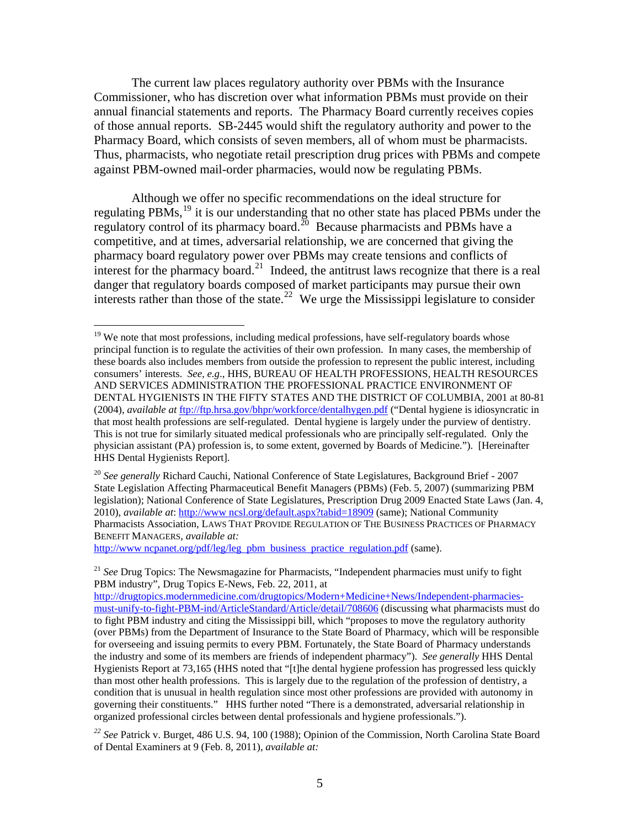The current law places regulatory authority over PBMs with the Insurance Commissioner, who has discretion over what information PBMs must provide on their annual financial statements and reports. The Pharmacy Board currently receives copies of those annual reports. SB-2445 would shift the regulatory authority and power to the Pharmacy Board, which consists of seven members, all of whom must be pharmacists. Thus, pharmacists, who negotiate retail prescription drug prices with PBMs and compete against PBM-owned mail-order pharmacies, would now be regulating PBMs.

Although we offer no specific recommendations on the ideal structure for regulating PBMs,[19](#page-4-0) it is our understanding that no other state has placed PBMs under the regulatory control of its pharmacy board.<sup>[20](#page-4-1)</sup> Because pharmacists and PBMs have a competitive, and at times, adversarial relationship, we are concerned that giving the pharmacy board regulatory power over PBMs may create tensions and conflicts of interest for the pharmacy board.<sup>[21](#page-4-2)</sup> Indeed, the antitrust laws recognize that there is a real danger that regulatory boards composed of market participants may pursue their own interests rather than those of the state.<sup>[22](#page-4-3)</sup> We urge the Mississippi legislature to consider

http://www.ncpanet.org/pdf/leg/leg pbm business practice regulation.pdf (same).

<span id="page-4-0"></span><sup>&</sup>lt;sup>19</sup> We note that most professions, including medical professions, have self-regulatory boards whose principal function is to regulate the activities of their own profession. In many cases, the membership of these boards also includes members from outside the profession to represent the public interest, including consumers' interests. *See, e.g*., HHS, BUREAU OF HEALTH PROFESSIONS, HEALTH RESOURCES AND SERVICES ADMINISTRATION THE PROFESSIONAL PRACTICE ENVIRONMENT OF DENTAL HYGIENISTS IN THE FIFTY STATES AND THE DISTRICT OF COLUMBIA, 2001 at 80-81 (2004), *available at* <ftp://ftp.hrsa.gov/bhpr/workforce/dentalhygen.pdf> ("Dental hygiene is idiosyncratic in that most health professions are self-regulated. Dental hygiene is largely under the purview of dentistry. This is not true for similarly situated medical professionals who are principally self-regulated. Only the physician assistant (PA) profession is, to some extent, governed by Boards of Medicine."). [Hereinafter HHS Dental Hygienists Report].

<span id="page-4-1"></span><sup>&</sup>lt;sup>20</sup> See generally Richard Cauchi, National Conference of State Legislatures, Background Brief - 2007 State Legislation Affecting Pharmaceutical Benefit Managers (PBMs) (Feb. 5, 2007) (summarizing PBM legislation); National Conference of State Legislatures, Prescription Drug 2009 Enacted State Laws (Jan. 4, 2010), *available at*: [http://www ncsl.org/default.aspx?tabid=18909](http://www.ncsl.org/default.aspx?tabid=18909) (same); National Community Pharmacists Association, LAWS THAT PROVIDE REGULATION OF THE BUSINESS PRACTICES OF PHARMACY BENEFIT MANAGERS, *available at:* 

<span id="page-4-2"></span><sup>21</sup> *See* Drug Topics: The Newsmagazine for Pharmacists, "Independent pharmacies must unify to fight PBM industry", Drug Topics E-News, Feb. 22, 2011, at

[http://drugtopics.modernmedicine.com/drugtopics/Modern+Medicine+News/Independent-pharmacies](http://drugtopics.modernmedicine.com/drugtopics/Modern+Medicine+News/Independent-pharmacies-must-unify-to-fight-PBM-ind/ArticleStandard/Article/detail/708606)[must-unify-to-fight-PBM-ind/ArticleStandard/Article/detail/708606](http://drugtopics.modernmedicine.com/drugtopics/Modern+Medicine+News/Independent-pharmacies-must-unify-to-fight-PBM-ind/ArticleStandard/Article/detail/708606) (discussing what pharmacists must do to fight PBM industry and citing the Mississippi bill, which "proposes to move the regulatory authority (over PBMs) from the Department of Insurance to the State Board of Pharmacy, which will be responsible for overseeing and issuing permits to every PBM. Fortunately, the State Board of Pharmacy understands the industry and some of its members are friends of independent pharmacy"). *See generally* HHS Dental Hygienists Report at 73,165 (HHS noted that "[t]he dental hygiene profession has progressed less quickly than most other health professions. This is largely due to the regulation of the profession of dentistry, a condition that is unusual in health regulation since most other professions are provided with autonomy in governing their constituents." HHS further noted "There is a demonstrated, adversarial relationship in organized professional circles between dental professionals and hygiene professionals.").

<span id="page-4-3"></span>*<sup>22</sup> See* Patrick v. Burget, 486 U.S. 94, 100 (1988); Opinion of the Commission, North Carolina State Board of Dental Examiners at 9 (Feb. 8, 2011), *available at:*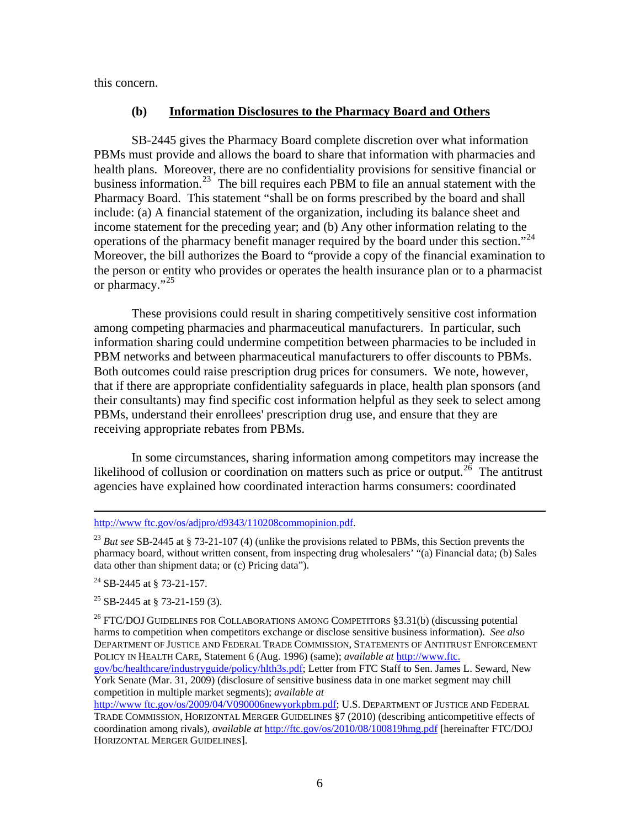this concern.

## **(b) Information Disclosures to the Pharmacy Board and Others**

SB-2445 gives the Pharmacy Board complete discretion over what information PBMs must provide and allows the board to share that information with pharmacies and health plans. Moreover, there are no confidentiality provisions for sensitive financial or business information.<sup>[23](#page-5-0)</sup> The bill requires each PBM to file an annual statement with the Pharmacy Board. This statement "shall be on forms prescribed by the board and shall include: (a) A financial statement of the organization, including its balance sheet and income statement for the preceding year; and (b) Any other information relating to the operations of the pharmacy benefit manager required by the board under this section."[24](#page-5-1) Moreover, the bill authorizes the Board to "provide a copy of the financial examination to the person or entity who provides or operates the health insurance plan or to a pharmacist or pharmacy."<sup>[25](#page-5-2)</sup>

These provisions could result in sharing competitively sensitive cost information among competing pharmacies and pharmaceutical manufacturers. In particular, such information sharing could undermine competition between pharmacies to be included in PBM networks and between pharmaceutical manufacturers to offer discounts to PBMs. Both outcomes could raise prescription drug prices for consumers. We note, however, that if there are appropriate confidentiality safeguards in place, health plan sponsors (and their consultants) may find specific cost information helpful as they seek to select among PBMs, understand their enrollees' prescription drug use, and ensure that they are receiving appropriate rebates from PBMs.

In some circumstances, sharing information among competitors may increase the likelihood of collusion or coordination on matters such as price or output.<sup>[26](#page-5-3)</sup> The antitrust agencies have explained how coordinated interaction harms consumers: coordinated

## [http://www ftc.gov/os/adjpro/d9343/110208commopinion.pdf.](http://www.ftc.gov/os/adjpro/d9343/110208commopinion.pdf)

<span id="page-5-0"></span><sup>23</sup> *But see* SB-2445 at § 73-21-107 (4) (unlike the provisions related to PBMs, this Section prevents the pharmacy board, without written consent, from inspecting drug wholesalers' "(a) Financial data; (b) Sales data other than shipment data; or (c) Pricing data").

<span id="page-5-1"></span> $^{24}$  SB-2445 at § 73-21-157.

<span id="page-5-2"></span> $^{25}$  SB-2445 at § 73-21-159 (3).

<span id="page-5-3"></span><sup>26</sup> FTC/DOJ GUIDELINES FOR COLLABORATIONS AMONG COMPETITORS §3.31(b) (discussing potential harms to competition when competitors exchange or disclose sensitive business information). *See also*  DEPARTMENT OF JUSTICE AND FEDERAL TRADE COMMISSION, STATEMENTS OF ANTITRUST ENFORCEMENT POLICY IN HEALTH CARE, Statement 6 (Aug. 1996) (same); *available at* [http://www.ftc.](http://www.ftc.gov/bc/healthcare/industryguide/policy/hlth3s.pdf) 

[gov/bc/healthcare/industryguide/policy/hlth3s.pdf;](http://www.ftc.gov/bc/healthcare/industryguide/policy/hlth3s.pdf) Letter from FTC Staff to Sen. James L. Seward, New York Senate (Mar. 31, 2009) (disclosure of sensitive business data in one market segment may chill competition in multiple market segments); *available at*

[http://www ftc.gov/os/2009/04/V090006newyorkpbm.pdf;](http://www.ftc.gov/os/2009/04/V090006newyorkpbm.pdf) U.S. DEPARTMENT OF JUSTICE AND FEDERAL TRADE COMMISSION, HORIZONTAL MERGER GUIDELINES §7 (2010) (describing anticompetitive effects of coordination among rivals), *available at* <http://ftc.gov/os/2010/08/100819hmg.pdf>[hereinafter FTC/DOJ HORIZONTAL MERGER GUIDELINES].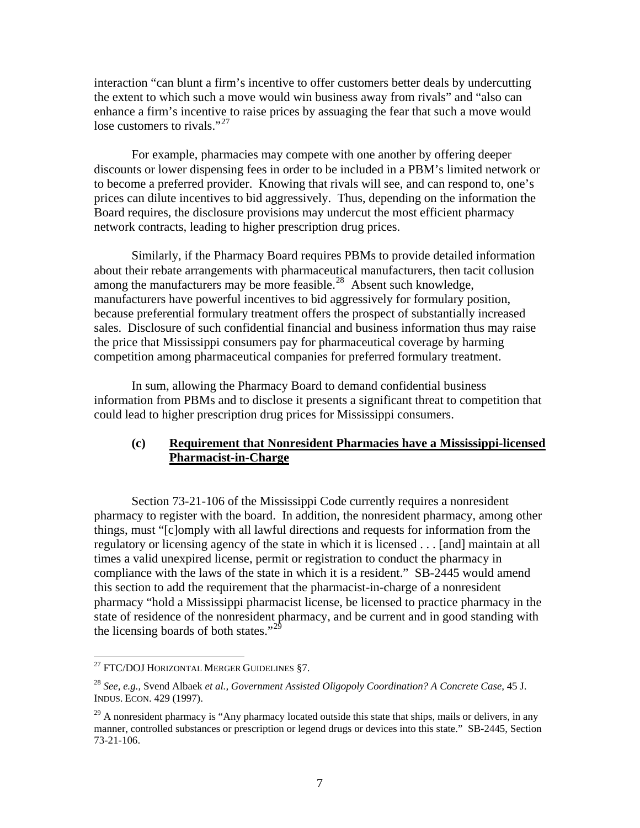interaction "can blunt a firm's incentive to offer customers better deals by undercutting the extent to which such a move would win business away from rivals" and "also can enhance a firm's incentive to raise prices by assuaging the fear that such a move would lose customers to rivals."<sup>[27](#page-6-0)</sup>

 For example, pharmacies may compete with one another by offering deeper discounts or lower dispensing fees in order to be included in a PBM's limited network or to become a preferred provider. Knowing that rivals will see, and can respond to, one's prices can dilute incentives to bid aggressively. Thus, depending on the information the Board requires, the disclosure provisions may undercut the most efficient pharmacy network contracts, leading to higher prescription drug prices.

 Similarly, if the Pharmacy Board requires PBMs to provide detailed information about their rebate arrangements with pharmaceutical manufacturers, then tacit collusion among the manufacturers may be more feasible.<sup>[28](#page-6-1)</sup> Absent such knowledge, manufacturers have powerful incentives to bid aggressively for formulary position, because preferential formulary treatment offers the prospect of substantially increased sales. Disclosure of such confidential financial and business information thus may raise the price that Mississippi consumers pay for pharmaceutical coverage by harming competition among pharmaceutical companies for preferred formulary treatment.

 In sum, allowing the Pharmacy Board to demand confidential business information from PBMs and to disclose it presents a significant threat to competition that could lead to higher prescription drug prices for Mississippi consumers.

# **(c) Requirement that Nonresident Pharmacies have a Mississippi-licensed Pharmacist-in-Charge**

Section 73-21-106 of the Mississippi Code currently requires a nonresident pharmacy to register with the board. In addition, the nonresident pharmacy, among other things, must "[c]omply with all lawful directions and requests for information from the regulatory or licensing agency of the state in which it is licensed . . . [and] maintain at all times a valid unexpired license, permit or registration to conduct the pharmacy in compliance with the laws of the state in which it is a resident." SB-2445 would amend this section to add the requirement that the pharmacist-in-charge of a nonresident pharmacy "hold a Mississippi pharmacist license, be licensed to practice pharmacy in the state of residence of the nonresident pharmacy, and be current and in good standing with the licensing boards of both states."<sup>[29](#page-6-2)</sup>

1

<span id="page-6-0"></span> $^{27}$  FTC/DOJ HORIZONTAL MERGER GUIDELINES §7.

<span id="page-6-1"></span><sup>28</sup> *See, e.g.,* Svend Albaek *et al., Government Assisted Oligopoly Coordination? A Concrete Case,* 45 J. INDUS. ECON. 429 (1997).

<span id="page-6-2"></span> $^{29}$  A nonresident pharmacy is "Any pharmacy located outside this state that ships, mails or delivers, in any manner, controlled substances or prescription or legend drugs or devices into this state." SB-2445, Section 73-21-106.